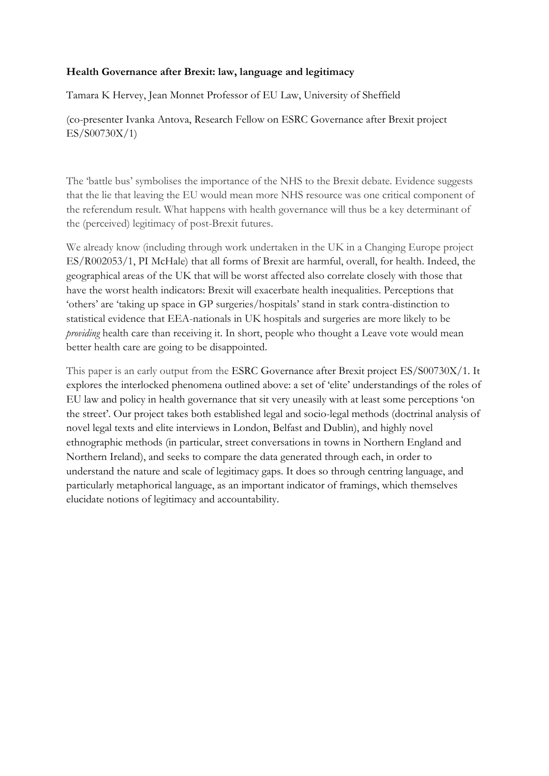## **Health Governance after Brexit: law, language and legitimacy**

Tamara K Hervey, Jean Monnet Professor of EU Law, University of Sheffield

(co-presenter Ivanka Antova, Research Fellow on ESRC Governance after Brexit project ES/S00730X/1)

The 'battle bus' symbolises the importance of the NHS to the Brexit debate. Evidence suggests that the lie that leaving the EU would mean more NHS resource was one critical component of the referendum result. What happens with health governance will thus be a key determinant of the (perceived) legitimacy of post-Brexit futures.

We already know (including through work undertaken in the UK in a Changing Europe project ES/R002053/1, PI McHale) that all forms of Brexit are harmful, overall, for health. Indeed, the geographical areas of the UK that will be worst affected also correlate closely with those that have the worst health indicators: Brexit will exacerbate health inequalities. Perceptions that 'others' are 'taking up space in GP surgeries/hospitals' stand in stark contra-distinction to statistical evidence that EEA-nationals in UK hospitals and surgeries are more likely to be *providing* health care than receiving it. In short, people who thought a Leave vote would mean better health care are going to be disappointed.

This paper is an early output from the ESRC Governance after Brexit project ES/S00730X/1. It explores the interlocked phenomena outlined above: a set of 'elite' understandings of the roles of EU law and policy in health governance that sit very uneasily with at least some perceptions 'on the street'. Our project takes both established legal and socio-legal methods (doctrinal analysis of novel legal texts and elite interviews in London, Belfast and Dublin), and highly novel ethnographic methods (in particular, street conversations in towns in Northern England and Northern Ireland), and seeks to compare the data generated through each, in order to understand the nature and scale of legitimacy gaps. It does so through centring language, and particularly metaphorical language, as an important indicator of framings, which themselves elucidate notions of legitimacy and accountability.